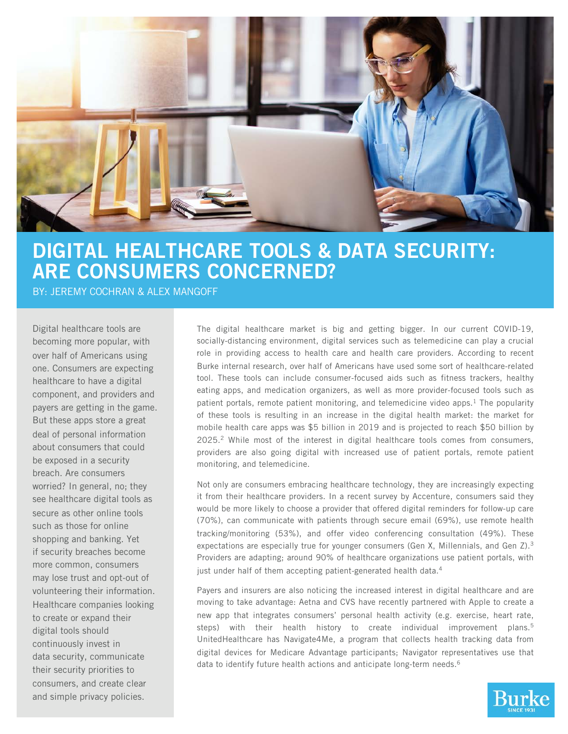

# DIGITAL HEALTHCARE TOOLS & DATA SECURITY: ARE CONSUMERS CONCERNED?

BY: JEREMY COCHRAN & ALEX MANGOFF

Digital healthcare tools are becoming more popular, with over half of Americans using one. Consumers are expecting healthcare to have a digital component, and providers and payers are getting in the game. But these apps store a great deal of personal information about consumers that could be exposed in a security breach. Are consumers worried? In general, no; they see healthcare digital tools as secure as other online tools such as those for online shopping and banking. Yet if security breaches become more common, consumers may lose trust and opt-out of volunteering their information. Healthcare companies looking to create or expand their digital tools should continuously invest in data security, communicate their security priorities to consumers, and create clear and simple privacy policies.

The digital healthcare market is big and getting bigger. In our current COVID-19, socially-distancing environment, digital services such as telemedicine can play a crucial role in providing access to health care and health care providers. According to recent Burke internal research, over half of Americans have used some sort of healthcare-related tool. These tools can include consumer-focused aids such as fitness trackers, healthy eating apps, and medication organizers, as well as more provider-focused tools such as patient portals, remote patient monitoring, and telemedicine video apps. $<sup>1</sup>$  The popularity</sup> of these tools is resulting in an increase in the digital health market: the market for mobile health care apps was \$5 billion in 2019 and is projected to reach \$50 billion by 2025. <sup>2</sup> While most of the interest in digital healthcare tools comes from consumers, providers are also going digital with increased use of patient portals, remote patient monitoring, and telemedicine.

Not only are consumers embracing healthcare technology, they are increasingly expecting it from their healthcare providers. In a recent survey by Accenture, consumers said they would be more likely to choose a provider that offered digital reminders for follow-up care (70%), can communicate with patients through secure email (69%), use remote health tracking/monitoring (53%), and offer video conferencing consultation (49%). These expectations are especially true for younger consumers (Gen X, Millennials, and Gen Z). 3 Providers are adapting; around 90% of healthcare organizations use patient portals, with just under half of them accepting patient-generated health data. 4

Payers and insurers are also noticing the increased interest in digital healthcare and are moving to take advantage: Aetna and CVS have recently partnered with Apple to create a new app that integrates consumers' personal health activity (e.g. exercise, heart rate, steps) with their health history to create individual improvement plans. 5 UnitedHealthcare has Navigate4Me, a program that collects health tracking data from digital devices for Medicare Advantage participants; Navigator representatives use that data to identify future health actions and anticipate long-term needs. 6

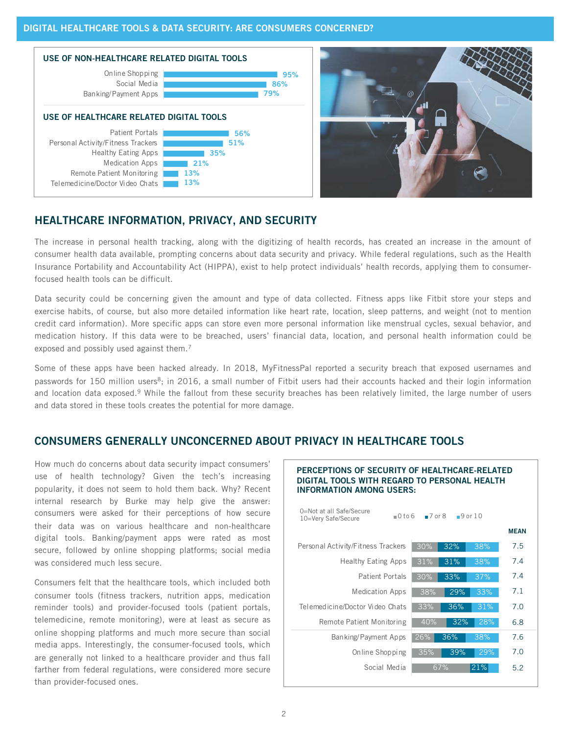



### HEALTHCARE INFORMATION, PRIVACY, AND SECURITY

The increase in personal health tracking, along with the digitizing of health records, has created an increase in the amount of consumer health data available, prompting concerns about data security and privacy. While federal regulations, such as the Health Insurance Portability and Accountability Act (HIPPA), exist to help protect individuals' health records, applying them to consumerfocused health tools can be difficult.

Data security could be concerning given the amount and type of data collected. Fitness apps like Fitbit store your steps and exercise habits, of course, but also more detailed information like heart rate, location, sleep patterns, and weight (not to mention credit card information). More specific apps can store even more personal information like menstrual cycles, sexual behavior, and medication history. If this data were to be breached, users' financial data, location, and personal health information could be exposed and possibly used against them. 7

Some of these apps have been hacked already. In 2018, MyFitnessPal reported a security breach that exposed usernames and passwords for 150 million users<sup>8</sup>; in 2016, a small number of Fitbit users had their accounts hacked and their login information and location data exposed.<sup>9</sup> While the fallout from these security breaches has been relatively limited, the large number of users and data stored in these tools creates the potential for more damage.

# CONSUMERS GENERALLY UNCONCERNED ABOUT PRIVACY IN HEALTHCARE TOOLS

How much do concerns about data security impact consumers' use of health technology? Given the tech's increasing popularity, it does not seem to hold them back. Why? Recent internal research by Burke may help give the answer: consumers were asked for their perceptions of how secure their data was on various healthcare and non-healthcare digital tools. Banking/payment apps were rated as most secure, followed by online shopping platforms; social media was considered much less secure.

Consumers felt that the healthcare tools, which included both consumer tools (fitness trackers, nutrition apps, medication reminder tools) and provider-focused tools (patient portals, telemedicine, remote monitoring), were at least as secure as online shopping platforms and much more secure than social media apps. Interestingly, the consumer-focused tools, which are generally not linked to a healthcare provider and thus fall farther from federal regulations, were considered more secure than provider-focused ones.

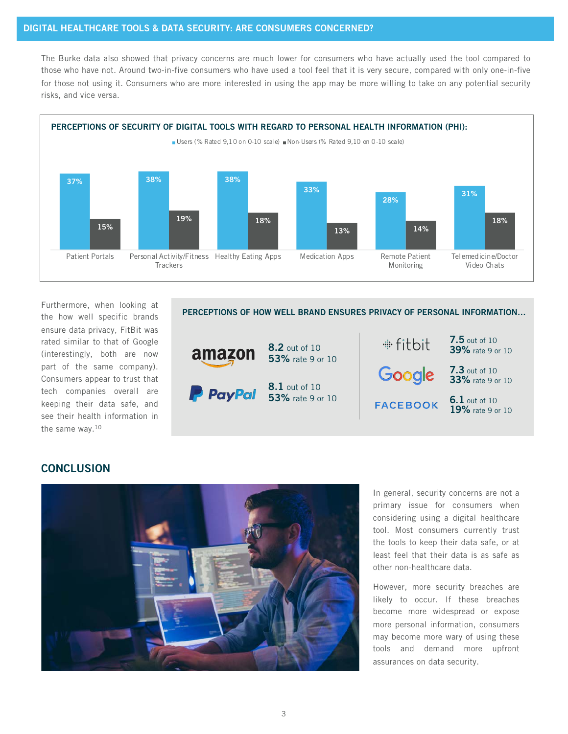### DIGITAL HEALTHCARE TOOLS & DATA SECURITY: ARE CONSUMERS CONCERNED?

The Burke data also showed that privacy concerns are much lower for consumers who have actually used the tool compared to those who have not. Around two-in-five consumers who have used a tool feel that it is very secure, compared with only one-in-five for those not using it. Consumers who are more interested in using the app may be more willing to take on any potential security risks, and vice versa.



Furthermore, when looking at the how well specific brands ensure data privacy, FitBit was rated similar to that of Google (interestingly, both are now part of the same company). Consumers appear to trust that tech companies overall are keeping their data safe, and see their health information in the same way. 10

### PERCEPTIONS OF HOW WELL BRAND ENSURES PRIVACY OF PERSONAL INFORMATION…



### **CONCLUSION**



In general, security concerns are not a primary issue for consumers when considering using a digital healthcare tool. Most consumers currently trust the tools to keep their data safe, or at least feel that their data is as safe as other non-healthcare data.

However, more security breaches are likely to occur. If these breaches become more widespread or expose more personal information, consumers may become more wary of using these tools and demand more upfront assurances on data security.